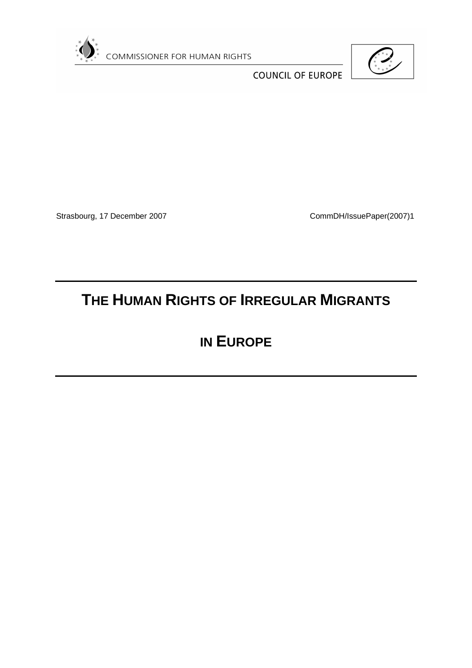

COMMISSIONER FOR HUMAN RIGHTS



**COUNCIL OF EUROPE** 

Strasbourg, 17 December 2007 CommDH/IssuePaper(2007)1

# **THE HUMAN RIGHTS OF IRREGULAR MIGRANTS**

# **IN EUROPE**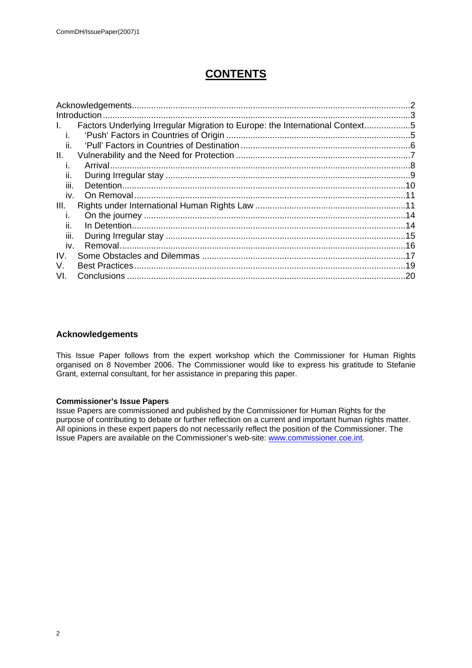# **CONTENTS**

|      | Introduction                                                                 |     |
|------|------------------------------------------------------------------------------|-----|
| L.   | Factors Underlying Irregular Migration to Europe: the International Context5 |     |
|      |                                                                              |     |
| ii.  |                                                                              |     |
| II.  |                                                                              |     |
|      |                                                                              |     |
| II.  |                                                                              |     |
| Ш.   |                                                                              |     |
| iv.  |                                                                              |     |
| III. |                                                                              |     |
|      |                                                                              |     |
| II.  | In Detention.                                                                |     |
| Ш.   |                                                                              |     |
| iv.  | Removal.                                                                     |     |
| IV.  |                                                                              |     |
| V.   |                                                                              |     |
| VI.  | <b>Conclusions</b>                                                           | .20 |
|      |                                                                              |     |

# <span id="page-1-0"></span>**Acknowledgements**

This Issue Paper follows from the expert workshop which the Commissioner for Human Rights organised on 8 November 2006. The Commissioner would like to express his gratitude to Stefanie Grant, external consultant, for her assistance in preparing this paper.

# **Commissioner's Issue Papers**

Issue Papers are commissioned and published by the Commissioner for Human Rights for the purpose of contributing to debate or further reflection on a current and important human rights matter. All opinions in these expert papers do not necessarily reflect the position of the Commissioner. The Issue Papers are available on the Commissioner's web-site: [www.commissioner.coe.int](http://www.commissioner.coe.int/).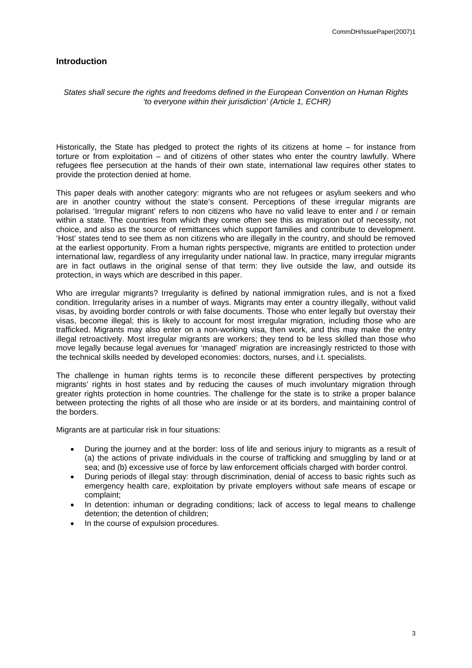# <span id="page-2-0"></span>**Introduction**

#### *States shall secure the rights and freedoms defined in the European Convention on Human Rights 'to everyone within their jurisdiction' (Article 1, ECHR)*

Historically, the State has pledged to protect the rights of its citizens at home – for instance from torture or from exploitation – and of citizens of other states who enter the country lawfully. Where refugees flee persecution at the hands of their own state, international law requires other states to provide the protection denied at home.

This paper deals with another category: migrants who are not refugees or asylum seekers and who are in another country without the state's consent. Perceptions of these irregular migrants are polarised. 'Irregular migrant' refers to non citizens who have no valid leave to enter and / or remain within a state. The countries from which they come often see this as migration out of necessity, not choice, and also as the source of remittances which support families and contribute to development. 'Host' states tend to see them as non citizens who are illegally in the country, and should be removed at the earliest opportunity. From a human rights perspective, migrants are entitled to protection under international law, regardless of any irregularity under national law. In practice, many irregular migrants are in fact outlaws in the original sense of that term: they live outside the law, and outside its protection, in ways which are described in this paper.

Who are irregular migrants? Irregularity is defined by national immigration rules, and is not a fixed condition. Irregularity arises in a number of ways. Migrants may enter a country illegally, without valid visas, by avoiding border controls or with false documents. Those who enter legally but overstay their visas, become illegal; this is likely to account for most irregular migration, including those who are trafficked. Migrants may also enter on a non-working visa, then work, and this may make the entry illegal retroactively. Most irregular migrants are workers; they tend to be less skilled than those who move legally because legal avenues for 'managed' migration are increasingly restricted to those with the technical skills needed by developed economies: doctors, nurses, and i.t. specialists.

The challenge in human rights terms is to reconcile these different perspectives by protecting migrants' rights in host states and by reducing the causes of much involuntary migration through greater rights protection in home countries. The challenge for the state is to strike a proper balance between protecting the rights of all those who are inside or at its borders, and maintaining control of the borders.

Migrants are at particular risk in four situations:

- During the journey and at the border: loss of life and serious injury to migrants as a result of (a) the actions of private individuals in the course of trafficking and smuggling by land or at sea; and (b) excessive use of force by law enforcement officials charged with border control.
- During periods of illegal stay: through discrimination, denial of access to basic rights such as emergency health care, exploitation by private employers without safe means of escape or complaint;
- In detention: inhuman or degrading conditions; lack of access to legal means to challenge detention; the detention of children;
- In the course of expulsion procedures.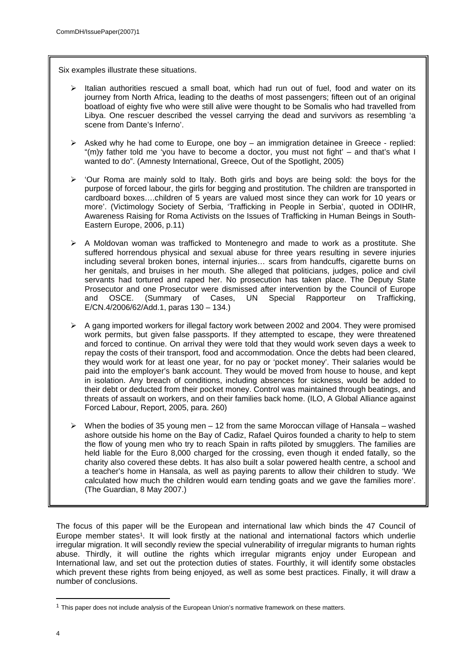Six examples illustrate these situations.

- Italian authorities rescued a small boat, which had run out of fuel, food and water on its journey from North Africa, leading to the deaths of most passengers; fifteen out of an original boatload of eighty five who were still alive were thought to be Somalis who had travelled from Libya. One rescuer described the vessel carrying the dead and survivors as resembling 'a scene from Dante's Inferno'.
- $\triangleright$  Asked why he had come to Europe, one boy an immigration detainee in Greece replied: "(m)y father told me 'you have to become a doctor, you must not fight' – and that's what I wanted to do". (Amnesty International, Greece, Out of the Spotlight, 2005)
- $\geq$  'Our Roma are mainly sold to Italy. Both girls and boys are being sold: the boys for the purpose of forced labour, the girls for begging and prostitution. The children are transported in cardboard boxes….children of 5 years are valued most since they can work for 10 years or more'. (Victimology Society of Serbia, 'Trafficking in People in Serbia', quoted in ODIHR, Awareness Raising for Roma Activists on the Issues of Trafficking in Human Beings in South-Eastern Europe, 2006, p.11)
- $\triangleright$  A Moldovan woman was trafficked to Montenegro and made to work as a prostitute. She suffered horrendous physical and sexual abuse for three years resulting in severe injuries including several broken bones, internal injuries… scars from handcuffs, cigarette burns on her genitals, and bruises in her mouth. She alleged that politicians, judges, police and civil servants had tortured and raped her. No prosecution has taken place. The Deputy State Prosecutor and one Prosecutor were dismissed after intervention by the Council of Europe and OSCE. (Summary of Cases, UN Special Rapporteur on Trafficking, E/CN.4/2006/62/Add.1, paras 130 – 134.)
- $\triangleright$  A gang imported workers for illegal factory work between 2002 and 2004. They were promised work permits, but given false passports. If they attempted to escape, they were threatened and forced to continue. On arrival they were told that they would work seven days a week to repay the costs of their transport, food and accommodation. Once the debts had been cleared, they would work for at least one year, for no pay or 'pocket money'. Their salaries would be paid into the employer's bank account. They would be moved from house to house, and kept in isolation. Any breach of conditions, including absences for sickness, would be added to their debt or deducted from their pocket money. Control was maintained through beatings, and threats of assault on workers, and on their families back home. (ILO, A Global Alliance against Forced Labour, Report, 2005, para. 260)
- $\triangleright$  When the bodies of 35 young men 12 from the same Moroccan village of Hansala washed ashore outside his home on the Bay of Cadiz, Rafael Quiros founded a charity to help to stem the flow of young men who try to reach Spain in rafts piloted by smugglers. The families are held liable for the Euro 8,000 charged for the crossing, even though it ended fatally, so the charity also covered these debts. It has also built a solar powered health centre, a school and a teacher's home in Hansala, as well as paying parents to allow their children to study. 'We calculated how much the children would earn tending goats and we gave the families more'. (The Guardian, 8 May 2007.)

The focus of this paper will be the European and international law which binds the 47 Council of Europe member states<sup>1</sup>. It will look firstly at the national and international factors which underlie irregular migration. It will secondly review the special vulnerability of irregular migrants to human rights abuse. Thirdly, it will outline the rights which irregular migrants enjoy under European and International law, and set out the protection duties of states. Fourthly, it will identify some obstacles which prevent these rights from being enjoyed, as well as some best practices. Finally, it will draw a number of conclusions.

 $<sup>1</sup>$  This paper does not include analysis of the European Union's normative framework on these matters.</sup>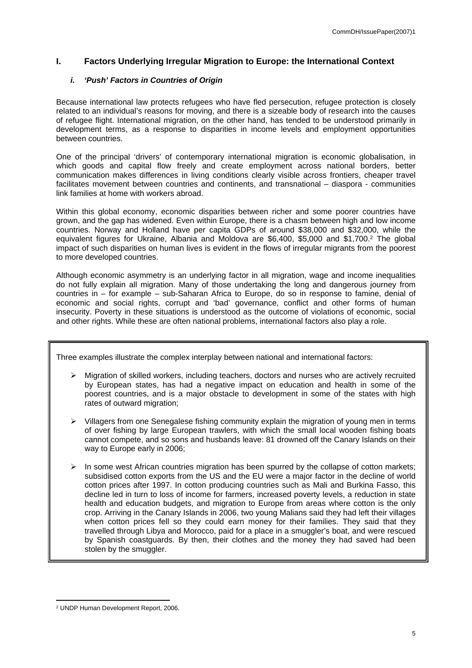# <span id="page-4-0"></span>**I. Factors Underlying Irregular Migration to Europe: the International Context**

# <span id="page-4-1"></span>*i. 'Push' Factors in Countries of Origin*

Because international law protects refugees who have fled persecution, refugee protection is closely related to an individual's reasons for moving, and there is a sizeable body of research into the causes of refugee flight. International migration, on the other hand, has tended to be understood primarily in development terms, as a response to disparities in income levels and employment opportunities between countries.

One of the principal 'drivers' of contemporary international migration is economic globalisation, in which goods and capital flow freely and create employment across national borders, better communication makes differences in living conditions clearly visible across frontiers, cheaper travel facilitates movement between countries and continents, and transnational – diaspora - communities link families at home with workers abroad.

Within this global economy, economic disparities between richer and some poorer countries have grown, and the gap has widened. Even within Europe, there is a chasm between high and low income countries. Norway and Holland have per capita GDPs of around \$38,000 and \$32,000, while the equivalent figures for Ukraine, Albania and Moldova are \$6,400, \$5,000 and \$1,700.<sup>2</sup> The global impact of such disparities on human lives is evident in the flows of irregular migrants from the poorest to more developed countries.

Although economic asymmetry is an underlying factor in all migration, wage and income inequalities do not fully explain all migration. Many of those undertaking the long and dangerous journey from countries in – for example – sub-Saharan Africa to Europe, do so in response to famine, denial of economic and social rights, corrupt and 'bad' governance, conflict and other forms of human insecurity. Poverty in these situations is understood as the outcome of violations of economic, social and other rights. While these are often national problems, international factors also play a role.

Three examples illustrate the complex interplay between national and international factors:

- $\triangleright$  Migration of skilled workers, including teachers, doctors and nurses who are actively recruited by European states, has had a negative impact on education and health in some of the poorest countries, and is a major obstacle to development in some of the states with high rates of outward migration;
- $\triangleright$  Villagers from one Senegalese fishing community explain the migration of young men in terms of over fishing by large European trawlers, with which the small local wooden fishing boats cannot compete, and so sons and husbands leave: 81 drowned off the Canary Islands on their way to Europe early in 2006;
- $\triangleright$  In some west African countries migration has been spurred by the collapse of cotton markets; subsidised cotton exports from the US and the EU were a major factor in the decline of world cotton prices after 1997. In cotton producing countries such as Mali and Burkina Fasso, this decline led in turn to loss of income for farmers, increased poverty levels, a reduction in state health and education budgets, and migration to Europe from areas where cotton is the only crop. Arriving in the Canary Islands in 2006, two young Malians said they had left their villages when cotton prices fell so they could earn money for their families. They said that they travelled through Libya and Morocco, paid for a place in a smuggler's boat, and were rescued by Spanish coastguards. By then, their clothes and the money they had saved had been stolen by the smuggler.

<sup>2</sup> UNDP Human Development Report, 2006.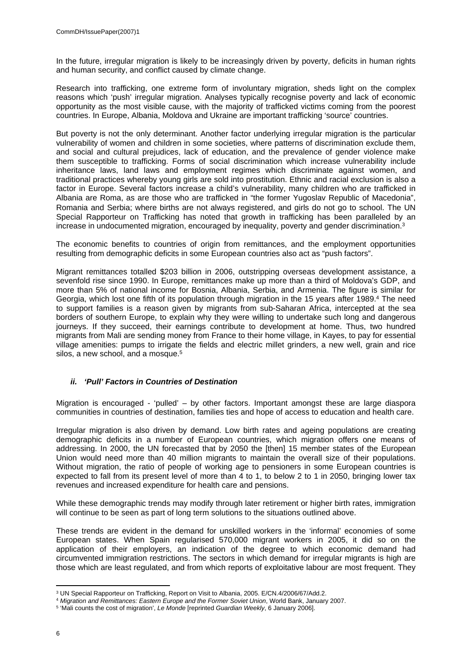In the future, irregular migration is likely to be increasingly driven by poverty, deficits in human rights and human security, and conflict caused by climate change.

Research into trafficking, one extreme form of involuntary migration, sheds light on the complex reasons which 'push' irregular migration. Analyses typically recognise poverty and lack of economic opportunity as the most visible cause, with the majority of trafficked victims coming from the poorest countries. In Europe, Albania, Moldova and Ukraine are important trafficking 'source' countries.

But poverty is not the only determinant. Another factor underlying irregular migration is the particular vulnerability of women and children in some societies, where patterns of discrimination exclude them, and social and cultural prejudices, lack of education, and the prevalence of gender violence make them susceptible to trafficking. Forms of social discrimination which increase vulnerability include inheritance laws, land laws and employment regimes which discriminate against women, and traditional practices whereby young girls are sold into prostitution. Ethnic and racial exclusion is also a factor in Europe. Several factors increase a child's vulnerability, many children who are trafficked in Albania are Roma, as are those who are trafficked in "the former Yugoslav Republic of Macedonia", Romania and Serbia; where births are not always registered, and girls do not go to school. The UN Special Rapporteur on Trafficking has noted that growth in trafficking has been paralleled by an increase in undocumented migration, encouraged by inequality, poverty and gender discrimination.<sup>3</sup>

The economic benefits to countries of origin from remittances, and the employment opportunities resulting from demographic deficits in some European countries also act as "push factors".

Migrant remittances totalled \$203 billion in 2006, outstripping overseas development assistance, a sevenfold rise since 1990. In Europe, remittances make up more than a third of Moldova's GDP, and more than 5% of national income for Bosnia, Albania, Serbia, and Armenia. The figure is similar for Georgia, which lost one fifth of its population through migration in the 15 years after 1989.<sup>4</sup> The need to support families is a reason given by migrants from sub-Saharan Africa, intercepted at the sea borders of southern Europe, to explain why they were willing to undertake such long and dangerous journeys. If they succeed, their earnings contribute to development at home. Thus, two hundred migrants from Mali are sending money from France to their home village, in Kayes, to pay for essential village amenities: pumps to irrigate the fields and electric millet grinders, a new well, grain and rice silos, a new school, and a mosque.<sup>5</sup>

# <span id="page-5-0"></span>*ii. 'Pull' Factors in Countries of Destination*

Migration is encouraged - 'pulled' – by other factors. Important amongst these are large diaspora communities in countries of destination, families ties and hope of access to education and health care.

Irregular migration is also driven by demand. Low birth rates and ageing populations are creating demographic deficits in a number of European countries, which migration offers one means of addressing. In 2000, the UN forecasted that by 2050 the [then] 15 member states of the European Union would need more than 40 million migrants to maintain the overall size of their populations. Without migration, the ratio of people of working age to pensioners in some European countries is expected to fall from its present level of more than 4 to 1, to below 2 to 1 in 2050, bringing lower tax revenues and increased expenditure for health care and pensions.

While these demographic trends may modify through later retirement or higher birth rates, immigration will continue to be seen as part of long term solutions to the situations outlined above.

These trends are evident in the demand for unskilled workers in the 'informal' economies of some European states. When Spain regularised 570,000 migrant workers in 2005, it did so on the application of their employers, an indication of the degree to which economic demand had circumvented immigration restrictions. The sectors in which demand for irregular migrants is high are those which are least regulated, and from which reports of exploitative labour are most frequent. They

<sup>3</sup> UN Special Rapporteur on Trafficking, Report on Visit to Albania, 2005. E/CN.4/2006/67/Add.2.

<sup>4</sup> *Migration and Remittances: Eastern Europe and the Former Soviet Union*, World Bank, January 2007.

<sup>5</sup> 'Mali counts the cost of migration', *Le Monde* [reprinted *Guardian Weekly*, 6 January 2006].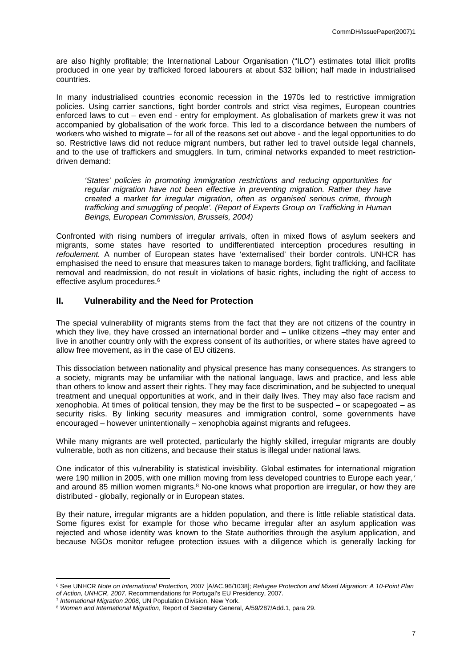are also highly profitable; the International Labour Organisation ("ILO") estimates total illicit profits produced in one year by trafficked forced labourers at about \$32 billion; half made in industrialised countries.

In many industrialised countries economic recession in the 1970s led to restrictive immigration policies. Using carrier sanctions, tight border controls and strict visa regimes, European countries enforced laws to cut – even end - entry for employment. As globalisation of markets grew it was not accompanied by globalisation of the work force. This led to a discordance between the numbers of workers who wished to migrate – for all of the reasons set out above - and the legal opportunities to do so. Restrictive laws did not reduce migrant numbers, but rather led to travel outside legal channels, and to the use of traffickers and smugglers. In turn, criminal networks expanded to meet restrictiondriven demand:

*'States' policies in promoting immigration restrictions and reducing opportunities for regular migration have not been effective in preventing migration. Rather they have created a market for irregular migration, often as organised serious crime, through trafficking and smuggling of people'. (Report of Experts Group on Trafficking in Human Beings, European Commission, Brussels, 2004)*

Confronted with rising numbers of irregular arrivals, often in mixed flows of asylum seekers and migrants, some states have resorted to undifferentiated interception procedures resulting in *refoulement.* A number of European states have 'externalised' their border controls. UNHCR has emphasised the need to ensure that measures taken to manage borders, fight trafficking, and facilitate removal and readmission, do not result in violations of basic rights, including the right of access to effective asylum procedures.<sup>6</sup>

# <span id="page-6-0"></span>**II. Vulnerability and the Need for Protection**

The special vulnerability of migrants stems from the fact that they are not citizens of the country in which they live, they have crossed an international border and – unlike citizens –they may enter and live in another country only with the express consent of its authorities, or where states have agreed to allow free movement, as in the case of EU citizens.

This dissociation between nationality and physical presence has many consequences. As strangers to a society, migrants may be unfamiliar with the national language, laws and practice, and less able than others to know and assert their rights. They may face discrimination, and be subjected to unequal treatment and unequal opportunities at work, and in their daily lives. They may also face racism and xenophobia. At times of political tension, they may be the first to be suspected – or scapegoated – as security risks. By linking security measures and immigration control, some governments have encouraged – however unintentionally – xenophobia against migrants and refugees.

While many migrants are well protected, particularly the highly skilled, irregular migrants are doubly vulnerable, both as non citizens, and because their status is illegal under national laws.

One indicator of this vulnerability is statistical invisibility. Global estimates for international migration were 190 million in 2005, with one million moving from less developed countries to Europe each year,<sup>7</sup> and around 85 million women migrants.<sup>8</sup> No-one knows what proportion are irregular, or how they are distributed - globally, regionally or in European states.

By their nature, irregular migrants are a hidden population, and there is little reliable statistical data. Some figures exist for example for those who became irregular after an asylum application was rejected and whose identity was known to the State authorities through the asylum application, and because NGOs monitor refugee protection issues with a diligence which is generally lacking for

<sup>6</sup> See UNHCR *Note on International Protection,* 2007 [A/AC.96/1038]; *Refugee Protection and Mixed Migration: A 10-Point Plan of Action, UNHCR, 2007.* Recommendations for Portugal's EU Presidency, 2007.

<sup>7</sup> *International Migration 2006*, UN Population Division, New York.

<sup>8</sup> *Women and International Migration*, Report of Secretary General, A/59/287/Add.1, para 29.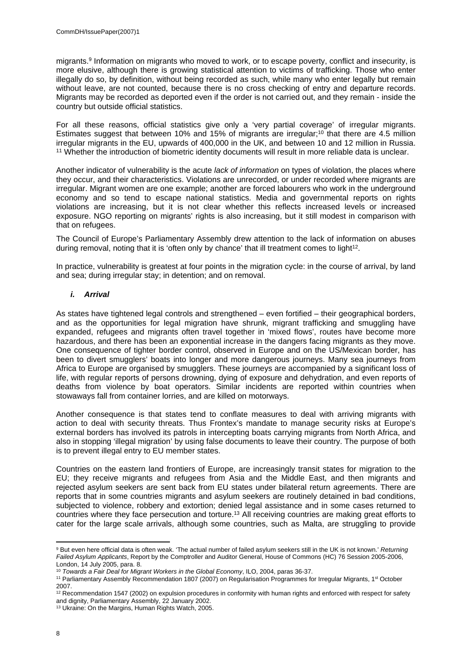migrants.<sup>9</sup> Information on migrants who moved to work, or to escape poverty, conflict and insecurity, is more elusive, although there is growing statistical attention to victims of trafficking. Those who enter illegally do so, by definition, without being recorded as such, while many who enter legally but remain without leave, are not counted, because there is no cross checking of entry and departure records. Migrants may be recorded as deported even if the order is not carried out, and they remain - inside the country but outside official statistics.

For all these reasons, official statistics give only a 'very partial coverage' of irregular migrants. Estimates suggest that between 10% and 15% of migrants are irregular;<sup>10</sup> that there are 4.5 million irregular migrants in the EU, upwards of 400,000 in the UK, and between 10 and 12 million in Russia. <sup>11</sup> Whether the introduction of biometric identity documents will result in more reliable data is unclear.

Another indicator of vulnerability is the acute *lack of information* on types of violation, the places where they occur, and their characteristics. Violations are unrecorded, or under recorded where migrants are irregular. Migrant women are one example; another are forced labourers who work in the underground economy and so tend to escape national statistics. Media and governmental reports on rights violations are increasing, but it is not clear whether this reflects increased levels or increased exposure. NGO reporting on migrants' rights is also increasing, but it still modest in comparison with that on refugees.

The Council of Europe's Parliamentary Assembly drew attention to the lack of information on abuses during removal, noting that it is 'often only by chance' that ill treatment comes to light<sup>12</sup>.

In practice, vulnerability is greatest at four points in the migration cycle: in the course of arrival, by land and sea; during irregular stay; in detention; and on removal.

# <span id="page-7-0"></span>*i. Arrival*

As states have tightened legal controls and strengthened – even fortified – their geographical borders, and as the opportunities for legal migration have shrunk, migrant trafficking and smuggling have expanded, refugees and migrants often travel together in 'mixed flows', routes have become more hazardous, and there has been an exponential increase in the dangers facing migrants as they move. One consequence of tighter border control, observed in Europe and on the US/Mexican border, has been to divert smugglers' boats into longer and more dangerous journeys. Many sea journeys from Africa to Europe are organised by smugglers. These journeys are accompanied by a significant loss of life, with regular reports of persons drowning, dying of exposure and dehydration, and even reports of deaths from violence by boat operators. Similar incidents are reported within countries when stowaways fall from container lorries, and are killed on motorways.

Another consequence is that states tend to conflate measures to deal with arriving migrants with action to deal with security threats. Thus Frontex's mandate to manage security risks at Europe's external borders has involved its patrols in intercepting boats carrying migrants from North Africa, and also in stopping 'illegal migration' by using false documents to leave their country. The purpose of both is to prevent illegal entry to EU member states.

Countries on the eastern land frontiers of Europe, are increasingly transit states for migration to the EU; they receive migrants and refugees from Asia and the Middle East, and then migrants and rejected asylum seekers are sent back from EU states under bilateral return agreements. There are reports that in some countries migrants and asylum seekers are routinely detained in bad conditions, subjected to violence, robbery and extortion; denied legal assistance and in some cases returned to countries where they face persecution and torture.<sup>13</sup> All receiving countries are making great efforts to cater for the large scale arrivals, although some countries, such as Malta, are struggling to provide

<sup>9</sup> But even here official data is often weak. 'The actual number of failed asylum seekers still in the UK is not known.' *Returning Failed Asylum Applicants*, Report by the Comptroller and Auditor General, House of Commons (HC) 76 Session 2005-2006, London, 14 July 2005, para. 8.

<sup>10</sup> *Towards a Fair Deal for Migrant Workers in the Global Economy*, ILO, 2004, paras 36-37.

<sup>11</sup> Parliamentary Assembly Recommendation 1807 (2007) on Regularisation Programmes for Irregular Migrants, 1st October 2007.

<sup>&</sup>lt;sup>12</sup> Recommendation 1547 (2002) on expulsion procedures in conformity with human rights and enforced with respect for safety and dignity, Parliamentary Assembly, 22 January 2002.

<sup>13</sup> Ukraine: On the Margins, Human Rights Watch, 2005.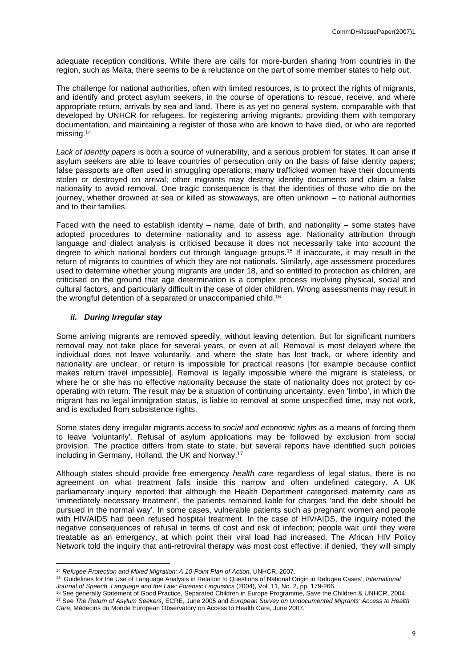adequate reception conditions. While there are calls for more-burden sharing from countries in the region, such as Malta, there seems to be a reluctance on the part of some member states to help out.

The challenge for national authorities, often with limited resources, is to protect the rights of migrants, and identify and protect asylum seekers, in the course of operations to rescue, receive, and where appropriate return, arrivals by sea and land. There is as yet no general system, comparable with that developed by UNHCR for refugees, for registering arriving migrants, providing them with temporary documentation, and maintaining a register of those who are known to have died, or who are reported missing.<sup>14</sup>

*Lack of identity papers* is both a source of vulnerability, and a serious problem for states. It can arise if asylum seekers are able to leave countries of persecution only on the basis of false identity papers; false passports are often used in smuggling operations; many trafficked women have their documents stolen or destroyed on arrival; other migrants may destroy identity documents and claim a false nationality to avoid removal. One tragic consequence is that the identities of those who die on the journey, whether drowned at sea or killed as stowaways, are often unknown – to national authorities and to their families.

Faced with the need to establish identity – name, date of birth, and nationality – some states have adopted procedures to determine nationality and to assess age. Nationality attribution through language and dialect analysis is criticised because it does not necessarily take into account the degree to which national borders cut through language groups.<sup>15</sup> If inaccurate, it may result in the return of migrants to countries of which they are not nationals. Similarly, age assessment procedures used to determine whether young migrants are under 18, and so entitled to protection as children, are criticised on the ground that age determination is a complex process involving physical, social and cultural factors, and particularly difficult in the case of older children. Wrong assessments may result in the wrongful detention of a separated or unaccompanied child.<sup>16</sup>

#### <span id="page-8-0"></span>*ii. During Irregular stay*

Some arriving migrants are removed speedily, without leaving detention. But for significant numbers removal may not take place for several years, or even at all. Removal is most delayed where the individual does not leave voluntarily, and where the state has lost track, or where identity and nationality are unclear, or return is impossible for practical reasons [for example because conflict makes return travel impossible]. Removal is legally impossible where the migrant is stateless, or where he or she has no effective nationality because the state of nationality does not protect by cooperating with return. The result may be a situation of continuing uncertainty, even 'limbo', in which the migrant has no legal immigration status, is liable to removal at some unspecified time, may not work, and is excluded from subsistence rights.

Some states deny irregular migrants access to *social and economic rights* as a means of forcing them to leave 'voluntarily'. Refusal of asylum applications may be followed by exclusion from social provision. The practice differs from state to state, but several reports have identified such policies including in Germany, Holland, the UK and Norway.<sup>17</sup>

Although states should provide free emergency *health care* regardless of legal status, there is no agreement on what treatment falls inside this narrow and often undefined category. A UK parliamentary inquiry reported that although the Health Department categorised maternity care as 'immediately necessary treatment', the patients remained liable for charges 'and the debt should be pursued in the normal way'. In some cases, vulnerable patients such as pregnant women and people with HIV/AIDS had been refused hospital treatment. In the case of HIV/AIDS, the inquiry noted the negative consequences of refusal in terms of cost and risk of infection; people wait until they were treatable as an emergency, at which point their viral load had increased. The African HIV Policy Network told the inquiry that anti-retroviral therapy was most cost effective; if denied, 'they will simply

<sup>14</sup> *Refugee Protection and Mixed Migration: A 10-Point Plan of Action*, UNHCR, 2007.

<sup>15</sup> 'Guidelines for the Use of Language Analysis in Relation to Questions of National Origin in Refugee Cases', *International Journal of Speech, Language and the Law: Forensic Linguistics* (2004), Vol. 11, No. 2, pp. 179-266.

<sup>16</sup> See generally Statement of Good Practice, Separated Children in Europe Programme, Save the Children & UNHCR, 2004. <sup>17</sup> See *The Return of Asylum Seekers*, ECRE, June 2005 and *European Survey on Undocumented Migrants' Access to Health Care*, Médecins du Monde European Observatory on Access to Health Care, June 2007.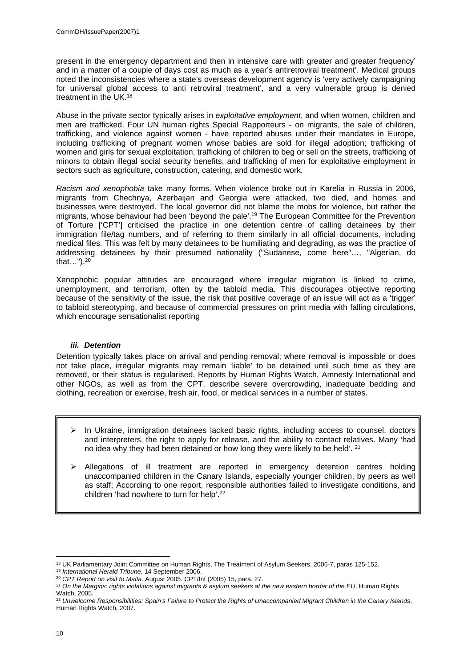present in the emergency department and then in intensive care with greater and greater frequency' and in a matter of a couple of days cost as much as a year's antiretroviral treatment'. Medical groups noted the inconsistencies where a state's overseas development agency is 'very actively campaigning for universal global access to anti retroviral treatment', and a very vulnerable group is denied treatment in the UK.<sup>18</sup>

Abuse in the private sector typically arises in *exploitative employment*, and when women, children and men are trafficked. Four UN human rights Special Rapporteurs - on migrants, the sale of children, trafficking, and violence against women - have reported abuses under their mandates in Europe, including trafficking of pregnant women whose babies are sold for illegal adoption; trafficking of women and girls for sexual exploitation, trafficking of children to beg or sell on the streets, trafficking of minors to obtain illegal social security benefits, and trafficking of men for exploitative employment in sectors such as agriculture, construction, catering, and domestic work.

*Racism and xenophobia* take many forms. When violence broke out in Karelia in Russia in 2006, migrants from Chechnya, Azerbaijan and Georgia were attacked, two died, and homes and businesses were destroyed. The local governor did not blame the mobs for violence, but rather the migrants, whose behaviour had been 'beyond the pale'.<sup>19</sup> The European Committee for the Prevention of Torture ['CPT'] criticised the practice in one detention centre of calling detainees by their immigration file/tag numbers, and of referring to them similarly in all official documents, including medical files. This was felt by many detainees to be humiliating and degrading, as was the practice of addressing detainees by their presumed nationality ("Sudanese, come here"…, "Algerian, do that…").<sup>20</sup>

Xenophobic popular attitudes are encouraged where irregular migration is linked to crime, unemployment, and terrorism, often by the tabloid media. This discourages objective reporting because of the sensitivity of the issue, the risk that positive coverage of an issue will act as a 'trigger' to tabloid stereotyping, and because of commercial pressures on print media with falling circulations, which encourage sensationalist reporting

# <span id="page-9-0"></span>*iii. Detention*

Detention typically takes place on arrival and pending removal; where removal is impossible or does not take place, irregular migrants may remain 'liable' to be detained until such time as they are removed, or their status is regularised. Reports by Human Rights Watch, Amnesty International and other NGOs, as well as from the CPT, describe severe overcrowding, inadequate bedding and clothing, recreation or exercise, fresh air, food, or medical services in a number of states.

- $\triangleright$  In Ukraine, immigration detainees lacked basic rights, including access to counsel, doctors and interpreters, the right to apply for release, and the ability to contact relatives. Many 'had no idea why they had been detained or how long they were likely to be held'. <sup>21</sup>
- $\triangleright$  Allegations of ill treatment are reported in emergency detention centres holding unaccompanied children in the Canary Islands, especially younger children, by peers as well as staff; According to one report, responsible authorities failed to investigate conditions, and children 'had nowhere to turn for help'.<sup>22</sup>

<sup>18</sup> UK Parliamentary Joint Committee on Human Rights, The Treatment of Asylum Seekers, 2006-7, paras 125-152.

<sup>19</sup> *International Herald Tribune*, 14 September 2006.

<sup>20</sup> *CPT Report on visit to Malta,* August 2005. CPT/Inf (2005) 15, para. 27.

<sup>21</sup> *On the Margins: rights violations against migrants & asylum seekers at the new eastern border of the EU*, Human Rights Watch, 2005.

<sup>22</sup> *Unwelcome Responsibilities: Spain's Failure to Protect the Rights of Unaccompanied Migrant Children in the Canary Islands*, Human Rights Watch, 2007.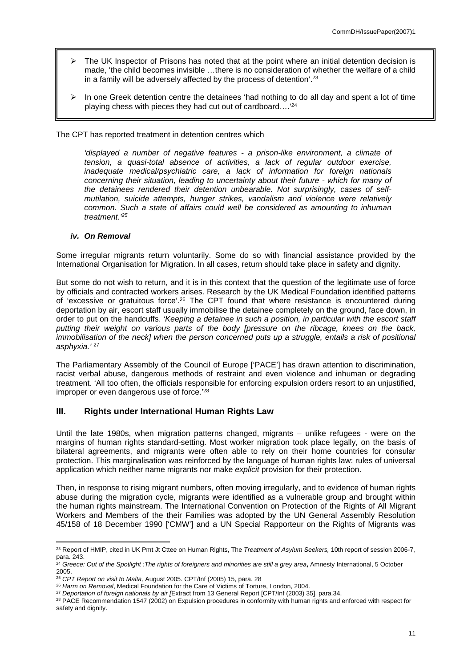- $\triangleright$  The UK Inspector of Prisons has noted that at the point where an initial detention decision is made, 'the child becomes invisible …there is no consideration of whether the welfare of a child in a family will be adversely affected by the process of detention'.<sup>23</sup>
- $\triangleright$  In one Greek detention centre the detainees 'had nothing to do all day and spent a lot of time playing chess with pieces they had cut out of cardboard….'<sup>24</sup>

The CPT has reported treatment in detention centres which

*'displayed a number of negative features - a prison-like environment, a climate of tension, a quasi-total absence of activities, a lack of regular outdoor exercise, inadequate medical/psychiatric care, a lack of information for foreign nationals concerning their situation, leading to uncertainty about their future - which for many of the detainees rendered their detention unbearable. Not surprisingly, cases of selfmutilation, suicide attempts, hunger strikes, vandalism and violence were relatively common. Such a state of affairs could well be considered as amounting to inhuman treatment.'<sup>25</sup>*

#### <span id="page-10-0"></span>*iv. On Removal*

Some irregular migrants return voluntarily. Some do so with financial assistance provided by the International Organisation for Migration. In all cases, return should take place in safety and dignity.

But some do not wish to return, and it is in this context that the question of the legitimate use of force by officials and contracted workers arises. Research by the UK Medical Foundation identified patterns of 'excessive or gratuitous force'.<sup>26</sup> The CPT found that where resistance is encountered during deportation by air, escort staff usually immobilise the detainee completely on the ground, face down, in order to put on the handcuffs. *'Keeping a detainee in such a position, in particular with the escort staff putting their weight on various parts of the body [pressure on the ribcage, knees on the back, immobilisation of the neck] when the person concerned puts up a struggle, entails a risk of positional asphyxia.'* <sup>27</sup>

The Parliamentary Assembly of the Council of Europe ['PACE'] has drawn attention to discrimination, racist verbal abuse, dangerous methods of restraint and even violence and inhuman or degrading treatment. 'All too often, the officials responsible for enforcing expulsion orders resort to an unjustified, improper or even dangerous use of force.'<sup>28</sup>

#### <span id="page-10-1"></span>**III. Rights under International Human Rights Law**

Until the late 1980s, when migration patterns changed, migrants – unlike refugees - were on the margins of human rights standard-setting. Most worker migration took place legally, on the basis of bilateral agreements, and migrants were often able to rely on their home countries for consular protection. This marginalisation was reinforced by the language of human rights law: rules of universal application which neither name migrants nor make *explicit* provision for their protection.

Then, in response to rising migrant numbers, often moving irregularly, and to evidence of human rights abuse during the migration cycle, migrants were identified as a vulnerable group and brought within the human rights mainstream. The International Convention on Protection of the Rights of All Migrant Workers and Members of the their Families was adopted by the UN General Assembly Resolution 45/158 of 18 December 1990 ['CMW'] and a UN Special Rapporteur on the Rights of Migrants was

<sup>23</sup> Report of HMIP, cited in UK Pmt Jt Cttee on Human Rights, The *Treatment of Asylum Seekers,* 10th report of session 2006-7, para. 243.

<sup>24</sup> *Greece: Out of the Spotlight :The rights of foreigners and minorities are still a grey area***,** Amnesty International, 5 October 2005.

<sup>25</sup> *CPT Report on visit to Malta,* August 2005. CPT/Inf (2005) 15, para. 28

<sup>26</sup> *Harm on Removal*, Medical Foundation for the Care of Victims of Torture, London, 2004.

<sup>27</sup> *Deportation of foreign nationals by air [*Extract from 13 General Report [CPT/Inf (2003) 35], para.34.

<sup>&</sup>lt;sup>28</sup> PACE Recommendation 1547 (2002) on Expulsion procedures in conformity with human rights and enforced with respect for safety and dignity.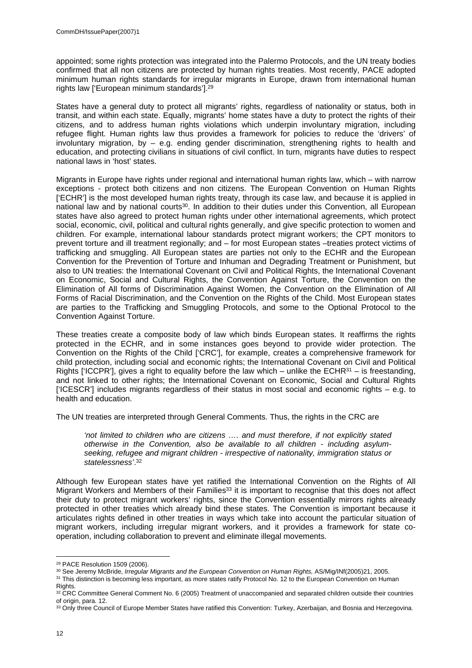appointed; some rights protection was integrated into the Palermo Protocols, and the UN treaty bodies confirmed that all non citizens are protected by human rights treaties. Most recently, PACE adopted minimum human rights standards for irregular migrants in Europe, drawn from international human rights law ['European minimum standards'].<sup>29</sup>

States have a general duty to protect all migrants' rights, regardless of nationality or status, both in transit, and within each state. Equally, migrants' home states have a duty to protect the rights of their citizens, and to address human rights violations which underpin involuntary migration, including refugee flight. Human rights law thus provides a framework for policies to reduce the 'drivers' of involuntary migration, by – e.g. ending gender discrimination, strengthening rights to health and education, and protecting civilians in situations of civil conflict. In turn, migrants have duties to respect national laws in 'host' states.

Migrants in Europe have rights under regional and international human rights law, which – with narrow exceptions - protect both citizens and non citizens. The European Convention on Human Rights ['ECHR'] is the most developed human rights treaty, through its case law, and because it is applied in national law and by national courts<sup>30</sup>. In addition to their duties under this Convention, all European states have also agreed to protect human rights under other international agreements, which protect social, economic, civil, political and cultural rights generally, and give specific protection to women and children. For example, international labour standards protect migrant workers; the CPT monitors to prevent torture and ill treatment regionally; and – for most European states –treaties protect victims of trafficking and smuggling. All European states are parties not only to the ECHR and the European Convention for the Prevention of Torture and Inhuman and Degrading Treatment or Punishment, but also to UN treaties: the International Covenant on Civil and Political Rights, the International Covenant on Economic, Social and Cultural Rights, the Convention Against Torture, the Convention on the Elimination of All forms of Discrimination Against Women, the Convention on the Elimination of All Forms of Racial Discrimination, and the Convention on the Rights of the Child. Most European states are parties to the Trafficking and Smuggling Protocols, and some to the Optional Protocol to the Convention Against Torture.

These treaties create a composite body of law which binds European states. It reaffirms the rights protected in the ECHR, and in some instances goes beyond to provide wider protection. The Convention on the Rights of the Child ['CRC'], for example, creates a comprehensive framework for child protection, including social and economic rights; the International Covenant on Civil and Political Rights ['ICCPR'], gives a right to equality before the law which – unlike the ECHR $31$  – is freestanding. and not linked to other rights; the International Covenant on Economic, Social and Cultural Rights ['ICESCR'] includes migrants regardless of their status in most social and economic rights – e.g. to health and education.

The UN treaties are interpreted through General Comments. Thus, the rights in the CRC are

*'not limited to children who are citizens …. and must therefore, if not explicitly stated otherwise in the Convention, also be available to all children - including asylumseeking, refugee and migrant children - irrespective of nationality, immigration status or statelessness'*. 32

Although few European states have yet ratified the International Convention on the Rights of All Migrant Workers and Members of their Families<sup>33</sup> it is important to recognise that this does not affect their duty to protect migrant workers' rights, since the Convention essentially mirrors rights already protected in other treaties which already bind these states. The Convention is important because it articulates rights defined in other treaties in ways which take into account the particular situation of migrant workers, including irregular migrant workers, and it provides a framework for state cooperation, including collaboration to prevent and eliminate illegal movements.

<sup>29</sup> PACE Resolution 1509 (2006).

<sup>30</sup> See Jeremy McBride, *Irregular Migrants and the European Convention on Human Rights,* AS/Mig/INf(2005)21, 2005.

<sup>&</sup>lt;sup>31</sup> This distinction is becoming less important, as more states ratify Protocol No. 12 to the European Convention on Human

Rights.

<sup>32</sup> CRC Committee General Comment No. 6 (2005) Treatment of unaccompanied and separated children outside their countries of origin, para. 12.

<sup>33</sup> Only three Council of Europe Member States have ratified this Convention: Turkey, Azerbaijan, and Bosnia and Herzegovina.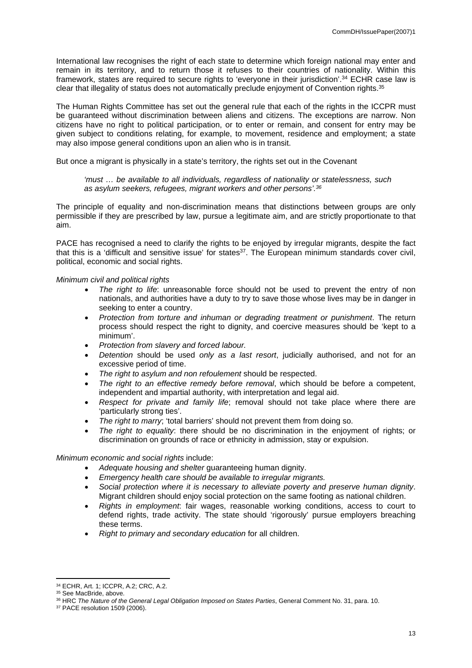International law recognises the right of each state to determine which foreign national may enter and remain in its territory, and to return those it refuses to their countries of nationality. Within this framework, states are required to secure rights to 'everyone in their jurisdiction'.<sup>34</sup> ECHR case law is clear that illegality of status does not automatically preclude enjoyment of Convention rights.<sup>35</sup>

The Human Rights Committee has set out the general rule that each of the rights in the ICCPR must be guaranteed without discrimination between aliens and citizens. The exceptions are narrow. Non citizens have no right to political participation, or to enter or remain, and consent for entry may be given subject to conditions relating, for example, to movement, residence and employment; a state may also impose general conditions upon an alien who is in transit.

But once a migrant is physically in a state's territory, the rights set out in the Covenant

*'must … be available to all individuals, regardless of nationality or statelessness, such as asylum seekers, refugees, migrant workers and other persons'.<sup>36</sup>*

The principle of equality and non-discrimination means that distinctions between groups are only permissible if they are prescribed by law, pursue a legitimate aim, and are strictly proportionate to that aim.

PACE has recognised a need to clarify the rights to be enjoyed by irregular migrants, despite the fact that this is a 'difficult and sensitive issue' for states<sup>37</sup>. The European minimum standards cover civil, political, economic and social rights.

#### *Minimum civil and political rights*

- *The right to life*: unreasonable force should not be used to prevent the entry of non nationals, and authorities have a duty to try to save those whose lives may be in danger in seeking to enter a country.
- *Protection from torture and inhuman or degrading treatment or punishment*. The return process should respect the right to dignity, and coercive measures should be 'kept to a minimum'.
- *Protection from slavery and forced labour.*
- *Detention* should be used *only as a last resort*, judicially authorised, and not for an excessive period of time.
- *The right to asylum and non refoulement* should be respected.
- *The right to an effective remedy before removal*, which should be before a competent, independent and impartial authority, with interpretation and legal aid.
- *Respect for private and family life*; removal should not take place where there are 'particularly strong ties'.
- *The right to marry*; 'total barriers' should not prevent them from doing so.
- *The right to equality*: there should be no discrimination in the enjoyment of rights; or discrimination on grounds of race or ethnicity in admission, stay or expulsion.

*Minimum economic and social rights* include:

- *Adequate housing and shelter* guaranteeing human dignity.
- *Emergency health care should be available to irregular migrants.*
- *Social protection where it is necessary to alleviate poverty and preserve human dignity*. Migrant children should enjoy social protection on the same footing as national children.
- *Rights in employment*: fair wages, reasonable working conditions, access to court to defend rights, trade activity. The state should 'rigorously' pursue employers breaching these terms.
- *Right to primary and secondary education* for all children.

<sup>34</sup> ECHR, Art. 1; ICCPR, A.2; CRC, A.2.

<sup>35</sup> See MacBride, above.

<sup>36</sup> HRC *The Nature of the General Legal Obligation Imposed on States Parties*, General Comment No. 31, para. 10.

<sup>37</sup> PACE resolution 1509 (2006).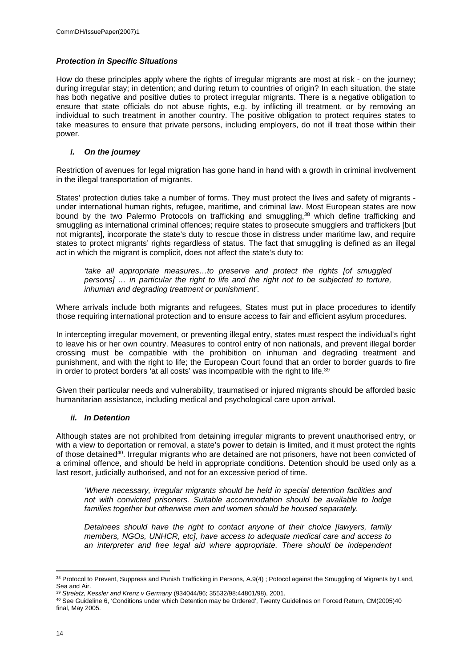#### *Protection in Specific Situations*

How do these principles apply where the rights of irregular migrants are most at risk - on the journey; during irregular stay; in detention; and during return to countries of origin? In each situation, the state has both negative and positive duties to protect irregular migrants. There is a negative obligation to ensure that state officials do not abuse rights, e.g. by inflicting ill treatment, or by removing an individual to such treatment in another country. The positive obligation to protect requires states to take measures to ensure that private persons, including employers, do not ill treat those within their power.

# <span id="page-13-0"></span>*i. On the journey*

Restriction of avenues for legal migration has gone hand in hand with a growth in criminal involvement in the illegal transportation of migrants.

States' protection duties take a number of forms. They must protect the lives and safety of migrants under international human rights, refugee, maritime, and criminal law. Most European states are now bound by the two Palermo Protocols on trafficking and smuggling,<sup>38</sup> which define trafficking and smuggling as international criminal offences; require states to prosecute smugglers and traffickers [but not migrants], incorporate the state's duty to rescue those in distress under maritime law, and require states to protect migrants' rights regardless of status. The fact that smuggling is defined as an illegal act in which the migrant is complicit, does not affect the state's duty to:

*'take all appropriate measures…to preserve and protect the rights [of smuggled persons] … in particular the right to life and the right not to be subjected to torture, inhuman and degrading treatment or punishment'.*

Where arrivals include both migrants and refugees, States must put in place procedures to identify those requiring international protection and to ensure access to fair and efficient asylum procedures.

In intercepting irregular movement, or preventing illegal entry, states must respect the individual's right to leave his or her own country. Measures to control entry of non nationals, and prevent illegal border crossing must be compatible with the prohibition on inhuman and degrading treatment and punishment, and with the right to life; the European Court found that an order to border guards to fire in order to protect borders 'at all costs' was incompatible with the right to life.<sup>39</sup>

Given their particular needs and vulnerability, traumatised or injured migrants should be afforded basic humanitarian assistance, including medical and psychological care upon arrival.

#### <span id="page-13-1"></span>*ii. In Detention*

Although states are not prohibited from detaining irregular migrants to prevent unauthorised entry, or with a view to deportation or removal, a state's power to detain is limited, and it must protect the rights of those detained<sup>40</sup>. Irregular migrants who are detained are not prisoners, have not been convicted of a criminal offence, and should be held in appropriate conditions. Detention should be used only as a last resort, judicially authorised, and not for an excessive period of time.

*'Where necessary, irregular migrants should be held in special detention facilities and not with convicted prisoners. Suitable accommodation should be available to lodge families together but otherwise men and women should be housed separately.* 

*Detainees should have the right to contact anyone of their choice [lawyers, family members, NGOs, UNHCR, etc], have access to adequate medical care and access to an interpreter and free legal aid where appropriate. There should be independent* 

<sup>38</sup> Protocol to Prevent, Suppress and Punish Trafficking in Persons, A.9(4) ; Potocol against the Smuggling of Migrants by Land, Sea and Air.

<sup>39</sup> *Streletz, Kessler and Krenz v Germany* (934044/96; 35532/98;44801/98), 2001.

<sup>40</sup> See Guideline 6, 'Conditions under which Detention may be Ordered', Twenty Guidelines on Forced Return, CM(2005)40 final, May 2005.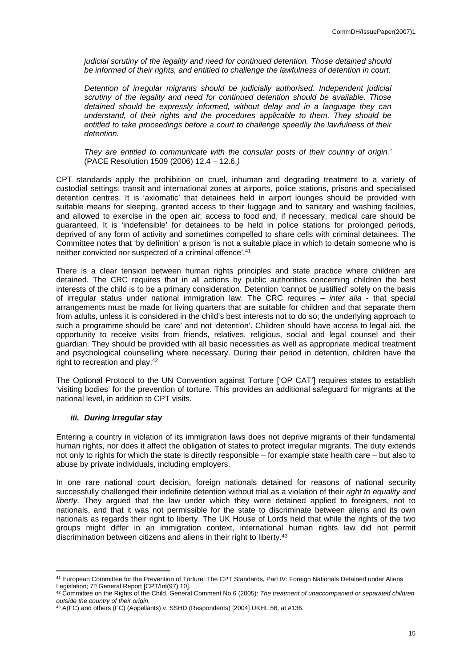*judicial scrutiny of the legality and need for continued detention. Those detained should be informed of their rights, and entitled to challenge the lawfulness of detention in court.*

*Detention of irregular migrants should be judicially authorised. Independent judicial scrutiny of the legality and need for continued detention should be available. Those detained should be expressly informed, without delay and in a language they can understand, of their rights and the procedures applicable to them. They should be entitled to take proceedings before a court to challenge speedily the lawfulness of their detention.* 

*They are entitled to communicate with the consular posts of their country of origin.'*  (PACE Resolution 1509 (2006) 12.4 – 12.6.*)* 

CPT standards apply the prohibition on cruel, inhuman and degrading treatment to a variety of custodial settings: transit and international zones at airports, police stations, prisons and specialised detention centres. It is 'axiomatic' that detainees held in airport lounges should be provided with suitable means for sleeping, granted access to their luggage and to sanitary and washing facilities, and allowed to exercise in the open air; access to food and, if necessary, medical care should be guaranteed. It is 'indefensible' for detainees to be held in police stations for prolonged periods, deprived of any form of activity and sometimes compelled to share cells with criminal detainees. The Committee notes that 'by definition' a prison 'is not a suitable place in which to detain someone who is neither convicted nor suspected of a criminal offence'.<sup>41</sup>

There is a clear tension between human rights principles and state practice where children are detained. The CRC requires that in all actions by public authorities concerning children the best interests of the child is to be a primary consideration. Detention 'cannot be justified' solely on the basis of irregular status under national immigration law. The CRC requires – *inter alia* - that special arrangements must be made for living quarters that are suitable for children and that separate them from adults, unless it is considered in the child's best interests not to do so; the underlying approach to such a programme should be 'care' and not 'detention'. Children should have access to legal aid, the opportunity to receive visits from friends, relatives, religious, social and legal counsel and their guardian. They should be provided with all basic necessities as well as appropriate medical treatment and psychological counselling where necessary. During their period in detention, children have the right to recreation and play.<sup>42</sup>

The Optional Protocol to the UN Convention against Torture ['OP CAT'] requires states to establish 'visiting bodies' for the prevention of torture. This provides an additional safeguard for migrants at the national level, in addition to CPT visits.

#### <span id="page-14-0"></span>*iii. During Irregular stay*

Entering a country in violation of its immigration laws does not deprive migrants of their fundamental human rights, nor does it affect the obligation of states to protect irregular migrants. The duty extends not only to rights for which the state is directly responsible – for example state health care – but also to abuse by private individuals, including employers.

In one rare national court decision, foreign nationals detained for reasons of national security successfully challenged their indefinite detention without trial as a violation of their *right to equality and liberty.* They argued that the law under which they were detained applied to foreigners, not to nationals, and that it was not permissible for the state to discriminate between aliens and its own nationals as regards their right to liberty. The UK House of Lords held that while the rights of the two groups might differ in an immigration context, international human rights law did not permit discrimination between citizens and aliens in their right to liberty.<sup>43</sup>

<sup>41</sup> European Committee for the Prevention of Torture: The CPT Standards, Part IV: Foreign Nationals Detained under Aliens Legislation: 7<sup>th</sup> General Report [CPT/Inf(97) 10].

<sup>42</sup> Committee on the Rights of the Child, General Comment No 6 (2005): *The treatment of unaccompanied or separated children outside the country of their origin.*

<sup>43</sup> A(FC) and others (FC) (Appellants) v. SSHD (Respondents) [2004] UKHL 56, at #136.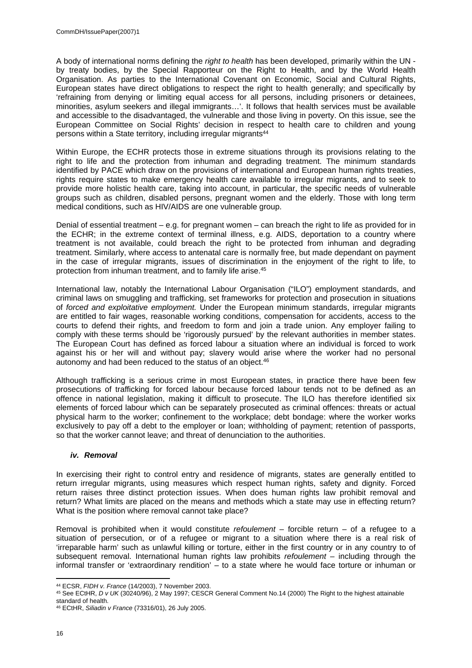A body of international norms defining the *right to health* has been developed, primarily within the UN by treaty bodies, by the Special Rapporteur on the Right to Health, and by the World Health Organisation. As parties to the International Covenant on Economic, Social and Cultural Rights, European states have direct obligations to respect the right to health generally; and specifically by 'refraining from denying or limiting equal access for all persons, including prisoners or detainees, minorities, asylum seekers and illegal immigrants…'. It follows that health services must be available and accessible to the disadvantaged, the vulnerable and those living in poverty. On this issue, see the European Committee on Social Rights' decision in respect to health care to children and young persons within a State territory, including irregular migrants<sup>44</sup>

Within Europe, the ECHR protects those in extreme situations through its provisions relating to the right to life and the protection from inhuman and degrading treatment. The minimum standards identified by PACE which draw on the provisions of international and European human rights treaties, rights require states to make emergency health care available to irregular migrants, and to seek to provide more holistic health care, taking into account, in particular, the specific needs of vulnerable groups such as children, disabled persons, pregnant women and the elderly. Those with long term medical conditions, such as HIV/AIDS are one vulnerable group.

Denial of essential treatment – e.g. for pregnant women – can breach the right to life as provided for in the ECHR; in the extreme context of terminal illness, e.g. AIDS, deportation to a country where treatment is not available, could breach the right to be protected from inhuman and degrading treatment. Similarly, where access to antenatal care is normally free, but made dependant on payment in the case of irregular migrants, issues of discrimination in the enjoyment of the right to life, to protection from inhuman treatment, and to family life arise.<sup>45</sup>

International law, notably the International Labour Organisation ("ILO") employment standards, and criminal laws on smuggling and trafficking, set frameworks for protection and prosecution in situations of *forced and exploitative employment.* Under the European minimum standards, irregular migrants are entitled to fair wages, reasonable working conditions, compensation for accidents, access to the courts to defend their rights, and freedom to form and join a trade union. Any employer failing to comply with these terms should be 'rigorously pursued' by the relevant authorities in member states. The European Court has defined as forced labour a situation where an individual is forced to work against his or her will and without pay; slavery would arise where the worker had no personal autonomy and had been reduced to the status of an object.<sup>46</sup>

Although trafficking is a serious crime in most European states, in practice there have been few prosecutions of trafficking for forced labour because forced labour tends not to be defined as an offence in national legislation, making it difficult to prosecute. The ILO has therefore identified six elements of forced labour which can be separately prosecuted as criminal offences: threats or actual physical harm to the worker; confinement to the workplace; debt bondage: where the worker works exclusively to pay off a debt to the employer or loan; withholding of payment; retention of passports, so that the worker cannot leave; and threat of denunciation to the authorities.

# <span id="page-15-0"></span>*iv. Removal*

In exercising their right to control entry and residence of migrants, states are generally entitled to return irregular migrants, using measures which respect human rights, safety and dignity. Forced return raises three distinct protection issues. When does human rights law prohibit removal and return? What limits are placed on the means and methods which a state may use in effecting return? What is the position where removal cannot take place?

Removal is prohibited when it would constitute *refoulement* – forcible return – of a refugee to a situation of persecution, or of a refugee or migrant to a situation where there is a real risk of 'irreparable harm' such as unlawful killing or torture, either in the first country or in any country to of subsequent removal. International human rights law prohibits *refoulement* – including through the informal transfer or 'extraordinary rendition' – to a state where he would face torture or inhuman or

<sup>44</sup> ECSR, *FIDH v. France* (14/2003), 7 November 2003.

<sup>45</sup> See ECtHR, *D v UK* (30240/96), 2 May 1997; CESCR General Comment No.14 (2000) The Right to the highest attainable standard of health.

<sup>46</sup> ECtHR, *Siliadin v France* (73316/01), 26 July 2005.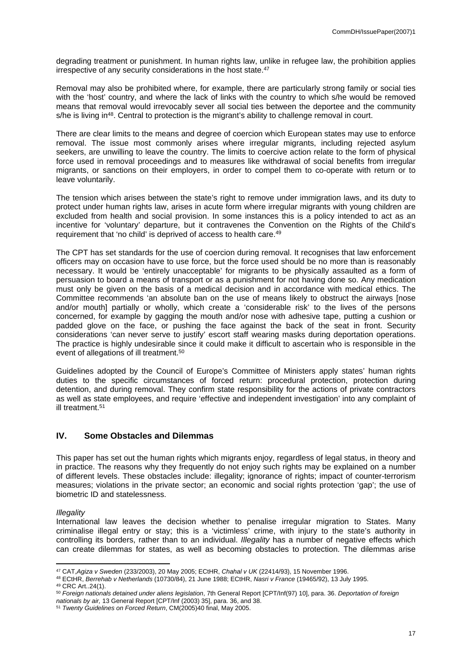degrading treatment or punishment. In human rights law, unlike in refugee law, the prohibition applies irrespective of any security considerations in the host state.<sup>47</sup>

Removal may also be prohibited where, for example, there are particularly strong family or social ties with the 'host' country, and where the lack of links with the country to which s/he would be removed means that removal would irrevocably sever all social ties between the deportee and the community  $s/he$  is living in<sup>48</sup>. Central to protection is the migrant's ability to challenge removal in court.

There are clear limits to the means and degree of coercion which European states may use to enforce removal. The issue most commonly arises where irregular migrants, including rejected asylum seekers, are unwilling to leave the country. The limits to coercive action relate to the form of physical force used in removal proceedings and to measures like withdrawal of social benefits from irregular migrants, or sanctions on their employers, in order to compel them to co-operate with return or to leave voluntarily.

The tension which arises between the state's right to remove under immigration laws, and its duty to protect under human rights law, arises in acute form where irregular migrants with young children are excluded from health and social provision. In some instances this is a policy intended to act as an incentive for 'voluntary' departure, but it contravenes the Convention on the Rights of the Child's requirement that 'no child' is deprived of access to health care.<sup>49</sup>

The CPT has set standards for the use of coercion during removal. It recognises that law enforcement officers may on occasion have to use force, but the force used should be no more than is reasonably necessary. It would be 'entirely unacceptable' for migrants to be physically assaulted as a form of persuasion to board a means of transport or as a punishment for not having done so. Any medication must only be given on the basis of a medical decision and in accordance with medical ethics. The Committee recommends 'an absolute ban on the use of means likely to obstruct the airways [nose and/or mouth] partially or wholly, which create a 'considerable risk' to the lives of the persons concerned, for example by gagging the mouth and/or nose with adhesive tape, putting a cushion or padded glove on the face, or pushing the face against the back of the seat in front. Security considerations 'can never serve to justify' escort staff wearing masks during deportation operations. The practice is highly undesirable since it could make it difficult to ascertain who is responsible in the event of allegations of ill treatment.<sup>50</sup>

Guidelines adopted by the Council of Europe's Committee of Ministers apply states' human rights duties to the specific circumstances of forced return: procedural protection, protection during detention, and during removal. They confirm state responsibility for the actions of private contractors as well as state employees, and require 'effective and independent investigation' into any complaint of ill treatment.<sup>51</sup>

# <span id="page-16-0"></span>**IV. Some Obstacles and Dilemmas**

This paper has set out the human rights which migrants enjoy, regardless of legal status, in theory and in practice. The reasons why they frequently do not enjoy such rights may be explained on a number of different levels. These obstacles include: illegality; ignorance of rights; impact of counter-terrorism measures; violations in the private sector; an economic and social rights protection 'gap'; the use of biometric ID and statelessness.

#### *Illegality*

International law leaves the decision whether to penalise irregular migration to States. Many criminalise illegal entry or stay; this is a 'victimless' crime, with injury to the state's authority in controlling its borders, rather than to an individual. *Illegality* has a number of negative effects which can create dilemmas for states, as well as becoming obstacles to protection. The dilemmas arise

<sup>47</sup> CAT,*Agiza v Sweden* (233/2003), 20 May 2005; ECtHR, *Chahal v UK* (22414/93), 15 November 1996.

<sup>48</sup> ECtHR, *Berrehab v Netherlands* (10730/84), 21 June 1988; ECtHR, *Nasri v France* (19465/92), 13 July 1995.

<sup>49</sup> CRC Art..24(1).

<sup>50</sup> *Foreign nationals detained under aliens legislation*, 7th General Report [CPT/Inf(97) 10], para. 36. *Deportation of foreign* 

*nationals by air,* 13 General Report [CPT/Inf (2003) 35], para. 36, and 38.

<sup>51</sup> *Twenty Guidelines on Forced Return*, CM(2005)40 final, May 2005.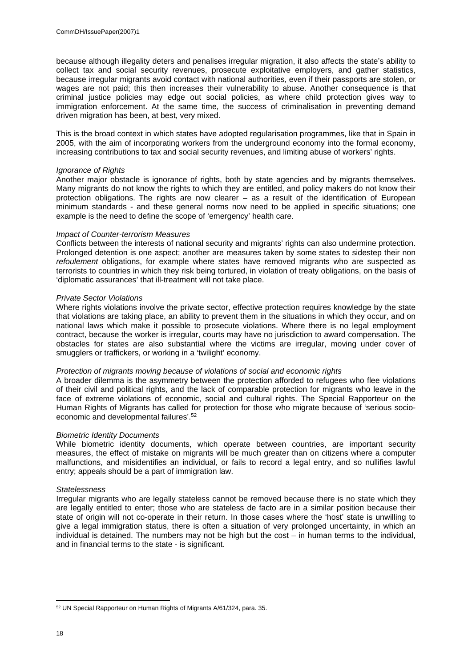because although illegality deters and penalises irregular migration, it also affects the state's ability to collect tax and social security revenues, prosecute exploitative employers, and gather statistics, because irregular migrants avoid contact with national authorities, even if their passports are stolen, or wages are not paid; this then increases their vulnerability to abuse. Another consequence is that criminal justice policies may edge out social policies, as where child protection gives way to immigration enforcement. At the same time, the success of criminalisation in preventing demand driven migration has been, at best, very mixed.

This is the broad context in which states have adopted regularisation programmes, like that in Spain in 2005, with the aim of incorporating workers from the underground economy into the formal economy, increasing contributions to tax and social security revenues, and limiting abuse of workers' rights.

#### *Ignorance of Rights*

Another major obstacle is ignorance of rights, both by state agencies and by migrants themselves. Many migrants do not know the rights to which they are entitled, and policy makers do not know their protection obligations. The rights are now clearer – as a result of the identification of European minimum standards - and these general norms now need to be applied in specific situations; one example is the need to define the scope of 'emergency' health care.

#### *Impact of Counter-terrorism Measures*

Conflicts between the interests of national security and migrants' rights can also undermine protection. Prolonged detention is one aspect; another are measures taken by some states to sidestep their non *refoulement* obligations, for example where states have removed migrants who are suspected as terrorists to countries in which they risk being tortured, in violation of treaty obligations, on the basis of 'diplomatic assurances' that ill-treatment will not take place.

#### *Private Sector Violations*

Where rights violations involve the private sector, effective protection requires knowledge by the state that violations are taking place, an ability to prevent them in the situations in which they occur, and on national laws which make it possible to prosecute violations. Where there is no legal employment contract, because the worker is irregular, courts may have no jurisdiction to award compensation. The obstacles for states are also substantial where the victims are irregular, moving under cover of smugglers or traffickers, or working in a 'twilight' economy.

#### *Protection of migrants moving because of violations of social and economic rights*

A broader dilemma is the asymmetry between the protection afforded to refugees who flee violations of their civil and political rights, and the lack of comparable protection for migrants who leave in the face of extreme violations of economic, social and cultural rights. The Special Rapporteur on the Human Rights of Migrants has called for protection for those who migrate because of 'serious socioeconomic and developmental failures'.<sup>52</sup>

#### *Biometric Identity Documents*

While biometric identity documents, which operate between countries, are important security measures, the effect of mistake on migrants will be much greater than on citizens where a computer malfunctions, and misidentifies an individual, or fails to record a legal entry, and so nullifies lawful entry; appeals should be a part of immigration law.

#### *Statelessness*

Irregular migrants who are legally stateless cannot be removed because there is no state which they are legally entitled to enter; those who are stateless de facto are in a similar position because their state of origin will not co-operate in their return. In those cases where the 'host' state is unwilling to give a legal immigration status, there is often a situation of very prolonged uncertainty, in which an individual is detained. The numbers may not be high but the cost – in human terms to the individual, and in financial terms to the state - is significant.

<sup>52</sup> UN Special Rapporteur on Human Rights of Migrants A/61/324, para. 35.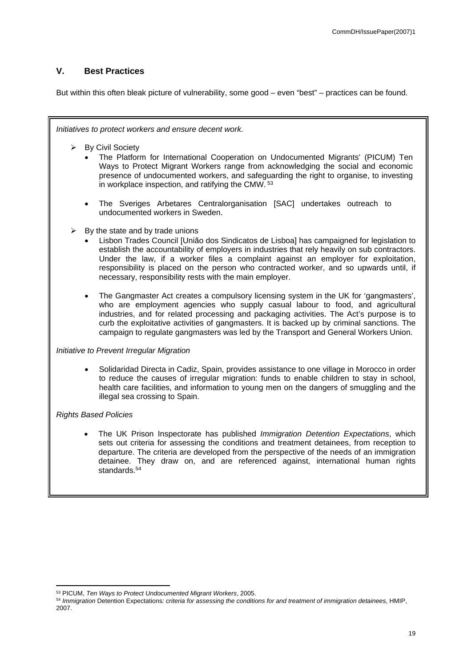# <span id="page-18-0"></span>**V. Best Practices**

But within this often bleak picture of vulnerability, some good – even "best" – practices can be found.

*Initiatives to protect workers and ensure decent work.* 

- > By Civil Society
	- The Platform for International Cooperation on Undocumented Migrants' (PICUM) Ten Ways to Protect Migrant Workers range from acknowledging the social and economic presence of undocumented workers, and safeguarding the right to organise, to investing in workplace inspection, and ratifying the CMW.<sup>53</sup>
	- The Sveriges Arbetares Centralorganisation [SAC] undertakes outreach to undocumented workers in Sweden.
- $\triangleright$  By the state and by trade unions
	- Lisbon Trades Council [União dos Sindicatos de Lisboa] has campaigned for legislation to establish the accountability of employers in industries that rely heavily on sub contractors. Under the law, if a worker files a complaint against an employer for exploitation, responsibility is placed on the person who contracted worker, and so upwards until, if necessary, responsibility rests with the main employer.
	- The Gangmaster Act creates a compulsory licensing system in the UK for 'gangmasters', who are employment agencies who supply casual labour to food, and agricultural industries, and for related processing and packaging activities. The Act's purpose is to curb the exploitative activities of gangmasters. It is backed up by criminal sanctions. The campaign to regulate gangmasters was led by the Transport and General Workers Union.

#### *Initiative to Prevent Irregular Migration*

 Solidaridad Directa in Cadiz, Spain, provides assistance to one village in Morocco in order to reduce the causes of irregular migration: funds to enable children to stay in school, health care facilities, and information to young men on the dangers of smuggling and the illegal sea crossing to Spain.

# *Rights Based Policies*

 The UK Prison Inspectorate has published *Immigration Detention Expectations*, which sets out criteria for assessing the conditions and treatment detainees, from reception to departure. The criteria are developed from the perspective of the needs of an immigration detainee. They draw on, and are referenced against, international human rights standards.<sup>54</sup>

<sup>53</sup> PICUM, *Ten Ways to Protect Undocumented Migrant Workers*, 2005.

<sup>54</sup> *Immigration* Detention Expectations*: criteria for assessing the conditions for and treatment of immigration detainees*, HMIP, 2007.